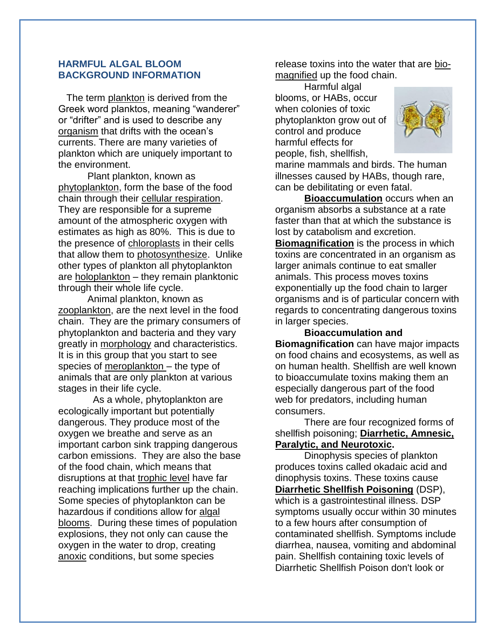## **HARMFUL ALGAL BLOOM BACKGROUND INFORMATION**

 The term plankton is derived from the Greek word planktos, meaning "wanderer" or "drifter" and is used to describe any organism that drifts with the ocean's currents. There are many varieties of plankton which are uniquely important to the environment.

Plant plankton, known as phytoplankton, form the base of the food chain through their cellular respiration. They are responsible for a supreme amount of the atmospheric oxygen with estimates as high as 80%. This is due to the presence of chloroplasts in their cells that allow them to photosynthesize. Unlike other types of plankton all phytoplankton are holoplankton – they remain planktonic through their whole life cycle.

Animal plankton, known as zooplankton, are the next level in the food chain. They are the primary consumers of phytoplankton and bacteria and they vary greatly in morphology and characteristics. It is in this group that you start to see species of meroplankton – the type of animals that are only plankton at various stages in their life cycle.

 As a whole, phytoplankton are ecologically important but potentially dangerous. They produce most of the oxygen we breathe and serve as an important carbon sink trapping dangerous carbon emissions. They are also the base of the food chain, which means that disruptions at that trophic level have far reaching implications further up the chain. Some species of phytoplankton can be hazardous if conditions allow for algal blooms. During these times of population explosions, they not only can cause the oxygen in the water to drop, creating anoxic conditions, but some species

release toxins into the water that are biomagnified up the food chain.

Harmful algal blooms, or HABs, occur when colonies of toxic phytoplankton grow out of control and produce harmful effects for people, fish, shellfish,



marine mammals and birds. The human illnesses caused by HABs, though rare, can be debilitating or even fatal.

**Bioaccumulation** occurs when an organism absorbs a substance at a rate faster than that at which the substance is lost by catabolism and excretion. **Biomagnification** is the process in which toxins are concentrated in an organism as larger animals continue to eat smaller animals. This process moves toxins exponentially up the food chain to larger organisms and is of particular concern with regards to concentrating dangerous toxins in larger species.

**Bioaccumulation and Biomagnification** can have major impacts on food chains and ecosystems, as well as on human health. Shellfish are well known to bioaccumulate toxins making them an especially dangerous part of the food web for predators, including human consumers.

There are four recognized forms of shellfish poisoning; **Diarrhetic, Amnesic, Paralytic, and Neurotoxic.**

Dinophysis species of plankton produces toxins called okadaic acid and dinophysis toxins. These toxins cause **Diarrhetic Shellfish Poisoning** (DSP), which is a gastrointestinal illness. DSP symptoms usually occur within 30 minutes to a few hours after consumption of contaminated shellfish. Symptoms include diarrhea, nausea, vomiting and abdominal pain. Shellfish containing toxic levels of Diarrhetic Shellfish Poison don't look or